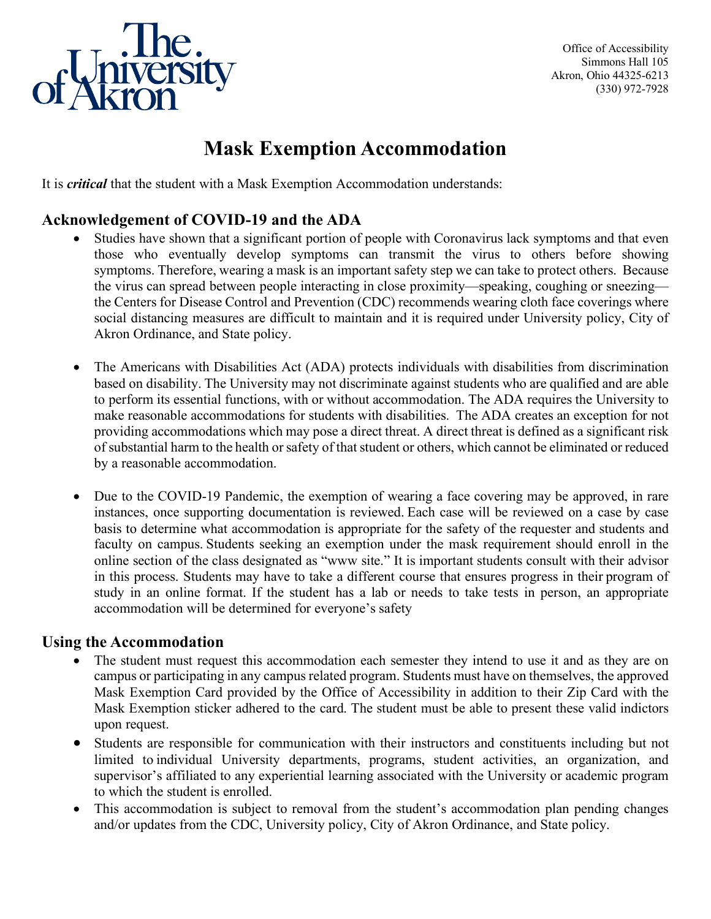

Office of Accessibility Simmons Hall 105 Akron, Ohio 44325-6213 (330) 972-7928

## **Mask Exemption Accommodation**

It is *critical* that the student with a Mask Exemption Accommodation understands:

## **Acknowledgement of COVID-19 and the ADA**

- Studies have shown that a significant portion of people with Coronavirus lack symptoms and that even those who eventually develop symptoms can transmit the virus to others before showing symptoms. Therefore, wearing a mask is an important safety step we can take to protect others.  Because the virus can spread between people interacting in close proximity—speaking, coughing or sneezing the Centers for Disease Control and Prevention (CDC) recommends wearing cloth face coverings where social distancing measures are difficult to maintain and it is required under University policy, City of Akron Ordinance, and State policy.
- The Americans with Disabilities Act (ADA) protects individuals with disabilities from discrimination based on disability. The University may not discriminate against students who are qualified and are able to perform its essential functions, with or without accommodation. The ADA requires the University to make reasonable accommodations for students with disabilities.  The ADA creates an exception for not providing accommodations which may pose a direct threat. A direct threat is defined as a significant risk of substantial harm to the health or safety of that student or others, which cannot be eliminated or reduced by a reasonable accommodation.
- Due to the COVID-19 Pandemic, the exemption of wearing a face covering may be approved, in rare instances, once supporting documentation is reviewed. Each case will be reviewed on a case by case basis to determine what accommodation is appropriate for the safety of the requester and students and faculty on campus. Students seeking an exemption under the mask requirement should enroll in the online section of the class designated as "www site." It is important students consult with their advisor in this process. Students may have to take a different course that ensures progress in their program of study in an online format. If the student has a lab or needs to take tests in person, an appropriate accommodation will be determined for everyone's safety

## **Using the Accommodation**

- The student must request this accommodation each semester they intend to use it and as they are on campus or participating in any campus related program. Students must have on themselves, the approved Mask Exemption Card provided by the Office of Accessibility in addition to their Zip Card with the Mask Exemption sticker adhered to the card. The student must be able to present these valid indictors upon request.
- Students are responsible for communication with their instructors and constituents including but not limited to individual University departments, programs, student activities, an organization, and supervisor's affiliated to any experiential learning associated with the University or academic program to which the student is enrolled.
- This accommodation is subject to removal from the student's accommodation plan pending changes and/or updates from the CDC, University policy, City of Akron Ordinance, and State policy.